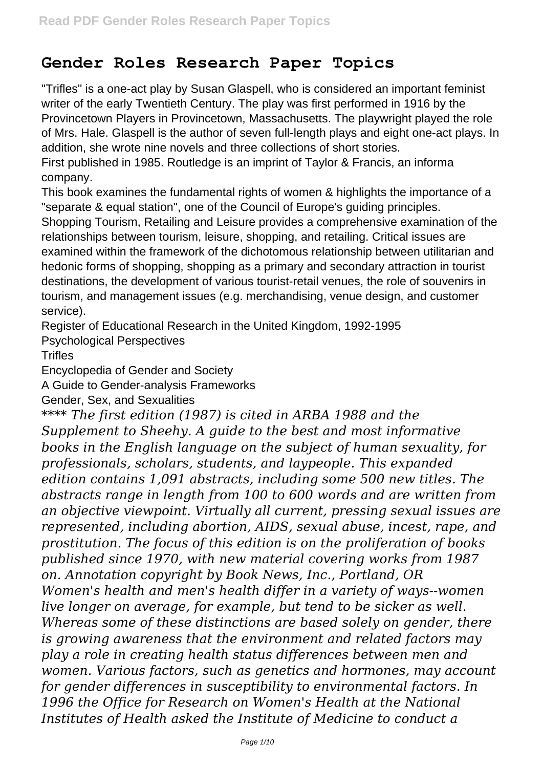## **Gender Roles Research Paper Topics**

"Trifles" is a one-act play by Susan Glaspell, who is considered an important feminist writer of the early Twentieth Century. The play was first performed in 1916 by the Provincetown Players in Provincetown, Massachusetts. The playwright played the role of Mrs. Hale. Glaspell is the author of seven full-length plays and eight one-act plays. In addition, she wrote nine novels and three collections of short stories.

First published in 1985. Routledge is an imprint of Taylor & Francis, an informa company.

This book examines the fundamental rights of women & highlights the importance of a "separate & equal station", one of the Council of Europe's guiding principles.

Shopping Tourism, Retailing and Leisure provides a comprehensive examination of the relationships between tourism, leisure, shopping, and retailing. Critical issues are examined within the framework of the dichotomous relationship between utilitarian and hedonic forms of shopping, shopping as a primary and secondary attraction in tourist destinations, the development of various tourist-retail venues, the role of souvenirs in tourism, and management issues (e.g. merchandising, venue design, and customer service).

Register of Educational Research in the United Kingdom, 1992-1995

Psychological Perspectives

**Trifles** 

Encyclopedia of Gender and Society

A Guide to Gender-analysis Frameworks

Gender, Sex, and Sexualities

*\*\*\*\* The first edition (1987) is cited in ARBA 1988 and the Supplement to Sheehy. A guide to the best and most informative books in the English language on the subject of human sexuality, for professionals, scholars, students, and laypeople. This expanded edition contains 1,091 abstracts, including some 500 new titles. The abstracts range in length from 100 to 600 words and are written from an objective viewpoint. Virtually all current, pressing sexual issues are represented, including abortion, AIDS, sexual abuse, incest, rape, and prostitution. The focus of this edition is on the proliferation of books published since 1970, with new material covering works from 1987 on. Annotation copyright by Book News, Inc., Portland, OR Women's health and men's health differ in a variety of ways--women live longer on average, for example, but tend to be sicker as well. Whereas some of these distinctions are based solely on gender, there is growing awareness that the environment and related factors may play a role in creating health status differences between men and women. Various factors, such as genetics and hormones, may account for gender differences in susceptibility to environmental factors. In 1996 the Office for Research on Women's Health at the National Institutes of Health asked the Institute of Medicine to conduct a*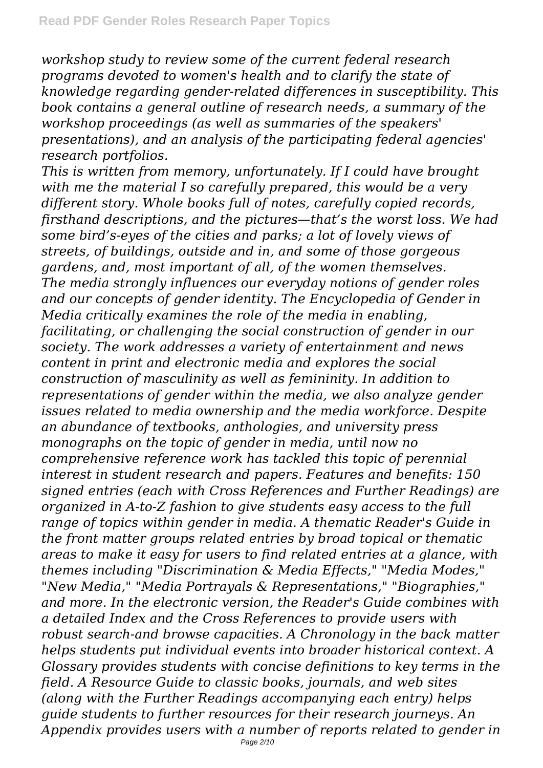*workshop study to review some of the current federal research programs devoted to women's health and to clarify the state of knowledge regarding gender-related differences in susceptibility. This book contains a general outline of research needs, a summary of the workshop proceedings (as well as summaries of the speakers' presentations), and an analysis of the participating federal agencies' research portfolios.*

*This is written from memory, unfortunately. If I could have brought with me the material I so carefully prepared, this would be a very different story. Whole books full of notes, carefully copied records, firsthand descriptions, and the pictures—that's the worst loss. We had some bird's-eyes of the cities and parks; a lot of lovely views of streets, of buildings, outside and in, and some of those gorgeous gardens, and, most important of all, of the women themselves. The media strongly influences our everyday notions of gender roles and our concepts of gender identity. The Encyclopedia of Gender in Media critically examines the role of the media in enabling, facilitating, or challenging the social construction of gender in our society. The work addresses a variety of entertainment and news content in print and electronic media and explores the social construction of masculinity as well as femininity. In addition to representations of gender within the media, we also analyze gender issues related to media ownership and the media workforce. Despite an abundance of textbooks, anthologies, and university press monographs on the topic of gender in media, until now no comprehensive reference work has tackled this topic of perennial interest in student research and papers. Features and benefits: 150 signed entries (each with Cross References and Further Readings) are organized in A-to-Z fashion to give students easy access to the full range of topics within gender in media. A thematic Reader's Guide in the front matter groups related entries by broad topical or thematic areas to make it easy for users to find related entries at a glance, with themes including "Discrimination & Media Effects," "Media Modes," "New Media," "Media Portrayals & Representations," "Biographies," and more. In the electronic version, the Reader's Guide combines with a detailed Index and the Cross References to provide users with robust search-and browse capacities. A Chronology in the back matter helps students put individual events into broader historical context. A Glossary provides students with concise definitions to key terms in the field. A Resource Guide to classic books, journals, and web sites (along with the Further Readings accompanying each entry) helps guide students to further resources for their research journeys. An Appendix provides users with a number of reports related to gender in*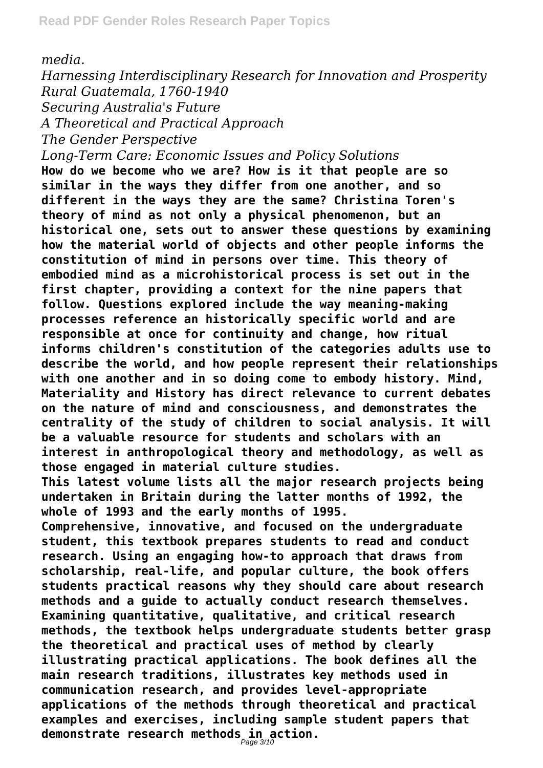*media.*

*Harnessing Interdisciplinary Research for Innovation and Prosperity Rural Guatemala, 1760-1940 Securing Australia's Future*

*A Theoretical and Practical Approach*

*The Gender Perspective*

*Long-Term Care: Economic Issues and Policy Solutions*

**How do we become who we are? How is it that people are so similar in the ways they differ from one another, and so different in the ways they are the same? Christina Toren's theory of mind as not only a physical phenomenon, but an historical one, sets out to answer these questions by examining how the material world of objects and other people informs the constitution of mind in persons over time. This theory of embodied mind as a microhistorical process is set out in the first chapter, providing a context for the nine papers that follow. Questions explored include the way meaning-making processes reference an historically specific world and are responsible at once for continuity and change, how ritual informs children's constitution of the categories adults use to describe the world, and how people represent their relationships with one another and in so doing come to embody history. Mind, Materiality and History has direct relevance to current debates on the nature of mind and consciousness, and demonstrates the centrality of the study of children to social analysis. It will be a valuable resource for students and scholars with an interest in anthropological theory and methodology, as well as those engaged in material culture studies.**

**This latest volume lists all the major research projects being undertaken in Britain during the latter months of 1992, the whole of 1993 and the early months of 1995.**

**Comprehensive, innovative, and focused on the undergraduate student, this textbook prepares students to read and conduct research. Using an engaging how-to approach that draws from scholarship, real-life, and popular culture, the book offers students practical reasons why they should care about research methods and a guide to actually conduct research themselves. Examining quantitative, qualitative, and critical research methods, the textbook helps undergraduate students better grasp the theoretical and practical uses of method by clearly illustrating practical applications. The book defines all the main research traditions, illustrates key methods used in communication research, and provides level-appropriate applications of the methods through theoretical and practical examples and exercises, including sample student papers that demonstrate research methods in action.** Page 3/10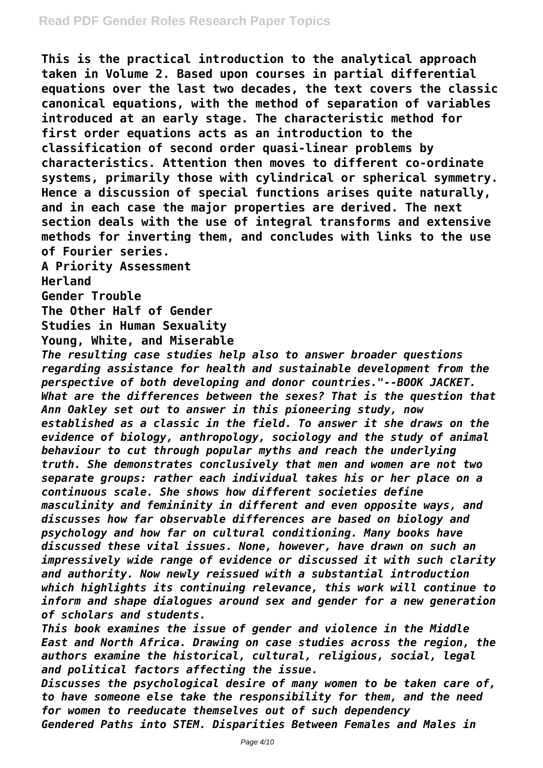**This is the practical introduction to the analytical approach taken in Volume 2. Based upon courses in partial differential equations over the last two decades, the text covers the classic canonical equations, with the method of separation of variables introduced at an early stage. The characteristic method for first order equations acts as an introduction to the classification of second order quasi-linear problems by characteristics. Attention then moves to different co-ordinate systems, primarily those with cylindrical or spherical symmetry. Hence a discussion of special functions arises quite naturally, and in each case the major properties are derived. The next section deals with the use of integral transforms and extensive methods for inverting them, and concludes with links to the use of Fourier series.**

**A Priority Assessment**

**Herland**

**Gender Trouble**

**The Other Half of Gender**

**Studies in Human Sexuality**

**Young, White, and Miserable**

*The resulting case studies help also to answer broader questions regarding assistance for health and sustainable development from the perspective of both developing and donor countries."--BOOK JACKET. What are the differences between the sexes? That is the question that Ann Oakley set out to answer in this pioneering study, now established as a classic in the field. To answer it she draws on the evidence of biology, anthropology, sociology and the study of animal behaviour to cut through popular myths and reach the underlying truth. She demonstrates conclusively that men and women are not two separate groups: rather each individual takes his or her place on a continuous scale. She shows how different societies define masculinity and femininity in different and even opposite ways, and discusses how far observable differences are based on biology and psychology and how far on cultural conditioning. Many books have discussed these vital issues. None, however, have drawn on such an impressively wide range of evidence or discussed it with such clarity and authority. Now newly reissued with a substantial introduction which highlights its continuing relevance, this work will continue to inform and shape dialogues around sex and gender for a new generation of scholars and students.*

*This book examines the issue of gender and violence in the Middle East and North Africa. Drawing on case studies across the region, the authors examine the historical, cultural, religious, social, legal and political factors affecting the issue.*

*Discusses the psychological desire of many women to be taken care of, to have someone else take the responsibility for them, and the need for women to reeducate themselves out of such dependency Gendered Paths into STEM. Disparities Between Females and Males in*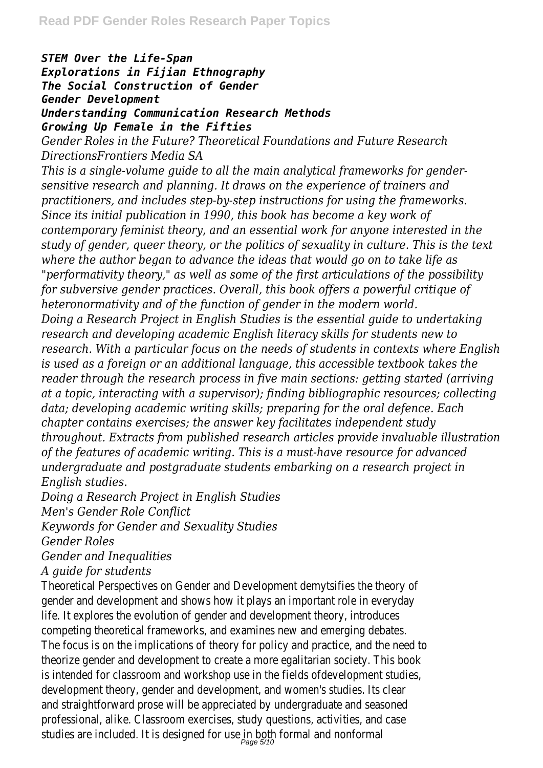## *STEM Over the Life-Span Explorations in Fijian Ethnography The Social Construction of Gender Gender Development Understanding Communication Research Methods Growing Up Female in the Fifties*

*Gender Roles in the Future? Theoretical Foundations and Future Research DirectionsFrontiers Media SA*

*This is a single-volume guide to all the main analytical frameworks for gendersensitive research and planning. It draws on the experience of trainers and practitioners, and includes step-by-step instructions for using the frameworks. Since its initial publication in 1990, this book has become a key work of contemporary feminist theory, and an essential work for anyone interested in the study of gender, queer theory, or the politics of sexuality in culture. This is the text where the author began to advance the ideas that would go on to take life as "performativity theory," as well as some of the first articulations of the possibility for subversive gender practices. Overall, this book offers a powerful critique of heteronormativity and of the function of gender in the modern world. Doing a Research Project in English Studies is the essential guide to undertaking research and developing academic English literacy skills for students new to research. With a particular focus on the needs of students in contexts where English is used as a foreign or an additional language, this accessible textbook takes the reader through the research process in five main sections: getting started (arriving at a topic, interacting with a supervisor); finding bibliographic resources; collecting data; developing academic writing skills; preparing for the oral defence. Each chapter contains exercises; the answer key facilitates independent study throughout. Extracts from published research articles provide invaluable illustration of the features of academic writing. This is a must-have resource for advanced undergraduate and postgraduate students embarking on a research project in English studies.*

*Doing a Research Project in English Studies Men's Gender Role Conflict*

*Keywords for Gender and Sexuality Studies*

*Gender Roles*

*Gender and Inequalities*

*A guide for students*

Theoretical Perspectives on Gender and Development demytsifies the theory of gender and development and shows how it plays an important role in everyday life. It explores the evolution of gender and development theory, introduces competing theoretical frameworks, and examines new and emerging debates. The focus is on the implications of theory for policy and practice, and the need to theorize gender and development to create a more egalitarian society. This book is intended for classroom and workshop use in the fields ofdevelopment studies, development theory, gender and development, and women's studies. Its clear and straightforward prose will be appreciated by undergraduate and seasoned professional, alike. Classroom exercises, study questions, activities, and case studies are included. It is designed for use in both formal and nonforma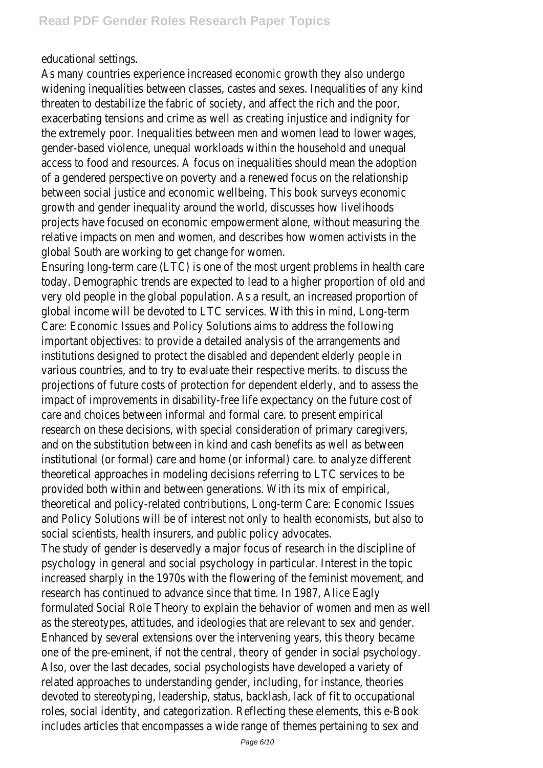educational settings.

As many countries experience increased economic growth they also undergo widening inequalities between classes, castes and sexes. Inequalities of any kind threaten to destabilize the fabric of society, and affect the rich and the poor exacerbating tensions and crime as well as creating injustice and indignity for the extremely poor. Inequalities between men and women lead to lower wages, gender-based violence, unequal workloads within the household and unequal access to food and resources. A focus on inequalities should mean the adoption of a gendered perspective on poverty and a renewed focus on the relationship between social justice and economic wellbeing. This book surveys economic growth and gender inequality around the world, discusses how livelihoods projects have focused on economic empowerment alone, without measuring the relative impacts on men and women, and describes how women activists in the global South are working to get change for women.

Ensuring long-term care (LTC) is one of the most urgent problems in health care today. Demographic trends are expected to lead to a higher proportion of old and very old people in the global population. As a result, an increased proportion of global income will be devoted to LTC services. With this in mind, Long-term Care: Economic Issues and Policy Solutions aims to address the following important objectives: to provide a detailed analysis of the arrangements and institutions designed to protect the disabled and dependent elderly people in various countries, and to try to evaluate their respective merits. to discuss the projections of future costs of protection for dependent elderly, and to assess the impact of improvements in disability-free life expectancy on the future cost of care and choices between informal and formal care. to present empirical research on these decisions, with special consideration of primary caregivers, and on the substitution between in kind and cash benefits as well as between institutional (or formal) care and home (or informal) care. to analyze different theoretical approaches in modeling decisions referring to LTC services to be provided both within and between generations. With its mix of empirical, theoretical and policy-related contributions, Long-term Care: Economic Issues and Policy Solutions will be of interest not only to health economists, but also to social scientists, health insurers, and public policy advocates.

The study of gender is deservedly a major focus of research in the discipline of psychology in general and social psychology in particular. Interest in the topic increased sharply in the 1970s with the flowering of the feminist movement, and research has continued to advance since that time. In 1987, Alice Eagly formulated Social Role Theory to explain the behavior of women and men as well as the stereotypes, attitudes, and ideologies that are relevant to sex and gender. Enhanced by several extensions over the intervening years, this theory became one of the pre-eminent, if not the central, theory of gender in social psychology. Also, over the last decades, social psychologists have developed a variety of related approaches to understanding gender, including, for instance, theories devoted to stereotyping, leadership, status, backlash, lack of fit to occupational roles, social identity, and categorization. Reflecting these elements, this e-Book includes articles that encompasses a wide range of themes pertaining to sex and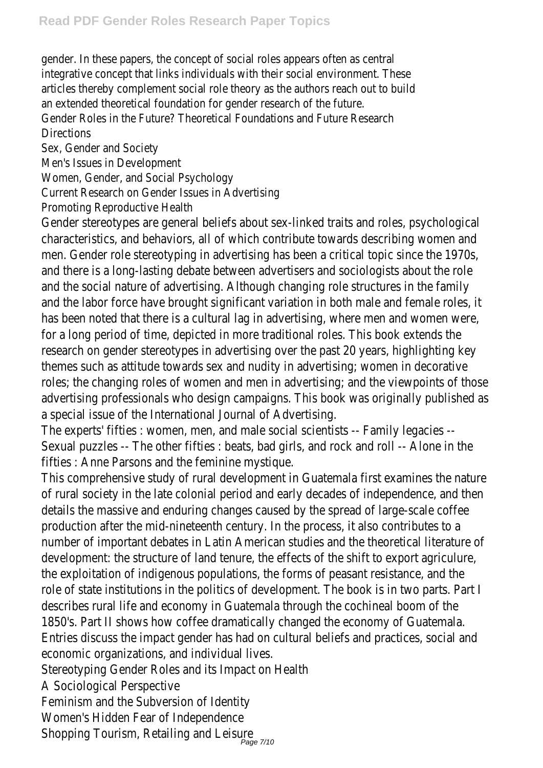gender. In these papers, the concept of social roles appears often as central integrative concept that links individuals with their social environment. These articles thereby complement social role theory as the authors reach out to build an extended theoretical foundation for gender research of the future Gender Roles in the Future? Theoretical Foundations and Future Research **Directions** 

Sex, Gender and Society

Men's Issues in Development

Women, Gender, and Social Psychology

Current Research on Gender Issues in Advertising

Promoting Reproductive Health

Gender stereotypes are general beliefs about sex-linked traits and roles, psycho characteristics, and behaviors, all of which contribute towards describing wom men. Gender role stereotyping in advertising has been a critical topic since the and there is a long-lasting debate between advertisers and sociologists about and the social nature of advertising. Although changing role structures in the f and the labor force have brought significant variation in both male and female has been noted that there is a cultural lag in advertising, where men and women for a long period of time, depicted in more traditional roles. This book extends research on gender stereotypes in advertising over the past 20 years, highlight themes such as attitude towards sex and nudity in advertising; women in decoration roles; the changing roles of women and men in advertising; and the viewpoints advertising professionals who design campaigns. This book was originally publis a special issue of the International Journal of Advertising.

The experts' fifties : women, men, and male social scientists -- Family legacies -Sexual puzzles -- The other fifties : beats, bad girls, and rock and roll -- Alone in fifties : Anne Parsons and the feminine mystique.

This comprehensive study of rural development in Guatemala first examines the of rural society in the late colonial period and early decades of independence, a details the massive and enduring changes caused by the spread of large-scale production after the mid-nineteenth century. In the process, it also contributes number of important debates in Latin American studies and the theoretical literature of development: the structure of land tenure, the effects of the shift to export a the exploitation of indigenous populations, the forms of peasant resistance, an role of state institutions in the politics of development. The book is in two par describes rural life and economy in Guatemala through the cochineal boom of t 1850's. Part II shows how coffee dramatically changed the economy of Guaten Entries discuss the impact gender has had on cultural beliefs and practices, so economic organizations, and individual lives.

Stereotyping Gender Roles and its Impact on Health

A Sociological Perspective

Feminism and the Subversion of Identity

Women's Hidden Fear of Independence

Shopping Tourism, Retailing and Leisure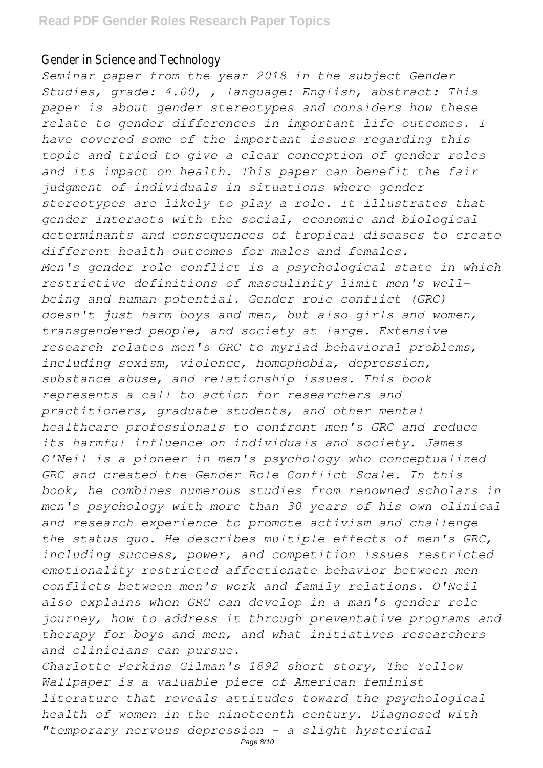## Gender in Science and Technology

*Seminar paper from the year 2018 in the subject Gender Studies, grade: 4.00, , language: English, abstract: This paper is about gender stereotypes and considers how these relate to gender differences in important life outcomes. I have covered some of the important issues regarding this topic and tried to give a clear conception of gender roles and its impact on health. This paper can benefit the fair judgment of individuals in situations where gender stereotypes are likely to play a role. It illustrates that gender interacts with the social, economic and biological determinants and consequences of tropical diseases to create different health outcomes for males and females. Men's gender role conflict is a psychological state in which restrictive definitions of masculinity limit men's wellbeing and human potential. Gender role conflict (GRC) doesn't just harm boys and men, but also girls and women, transgendered people, and society at large. Extensive research relates men's GRC to myriad behavioral problems, including sexism, violence, homophobia, depression, substance abuse, and relationship issues. This book represents a call to action for researchers and practitioners, graduate students, and other mental healthcare professionals to confront men's GRC and reduce its harmful influence on individuals and society. James O'Neil is a pioneer in men's psychology who conceptualized GRC and created the Gender Role Conflict Scale. In this book, he combines numerous studies from renowned scholars in men's psychology with more than 30 years of his own clinical and research experience to promote activism and challenge the status quo. He describes multiple effects of men's GRC, including success, power, and competition issues restricted emotionality restricted affectionate behavior between men conflicts between men's work and family relations. O'Neil also explains when GRC can develop in a man's gender role journey, how to address it through preventative programs and therapy for boys and men, and what initiatives researchers and clinicians can pursue.*

*Charlotte Perkins Gilman's 1892 short story, The Yellow Wallpaper is a valuable piece of American feminist literature that reveals attitudes toward the psychological health of women in the nineteenth century. Diagnosed with "temporary nervous depression - a slight hysterical*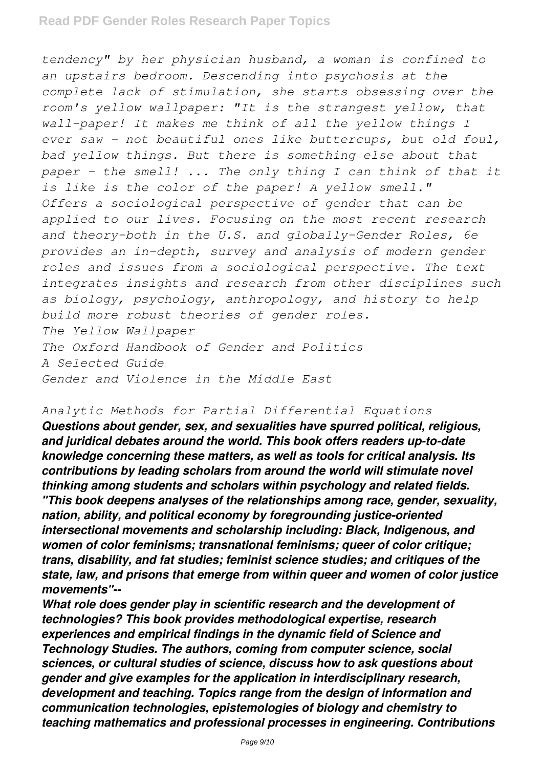*tendency" by her physician husband, a woman is confined to an upstairs bedroom. Descending into psychosis at the complete lack of stimulation, she starts obsessing over the room's yellow wallpaper: "It is the strangest yellow, that wall-paper! It makes me think of all the yellow things I ever saw - not beautiful ones like buttercups, but old foul, bad yellow things. But there is something else about that paper - the smell! ... The only thing I can think of that it is like is the color of the paper! A yellow smell." Offers a sociological perspective of gender that can be applied to our lives. Focusing on the most recent research and theory–both in the U.S. and globally–Gender Roles, 6e provides an in-depth, survey and analysis of modern gender roles and issues from a sociological perspective. The text integrates insights and research from other disciplines such as biology, psychology, anthropology, and history to help build more robust theories of gender roles. The Yellow Wallpaper The Oxford Handbook of Gender and Politics A Selected Guide Gender and Violence in the Middle East*

## *Analytic Methods for Partial Differential Equations*

*Questions about gender, sex, and sexualities have spurred political, religious, and juridical debates around the world. This book offers readers up-to-date knowledge concerning these matters, as well as tools for critical analysis. Its contributions by leading scholars from around the world will stimulate novel thinking among students and scholars within psychology and related fields. "This book deepens analyses of the relationships among race, gender, sexuality, nation, ability, and political economy by foregrounding justice-oriented intersectional movements and scholarship including: Black, Indigenous, and women of color feminisms; transnational feminisms; queer of color critique; trans, disability, and fat studies; feminist science studies; and critiques of the state, law, and prisons that emerge from within queer and women of color justice movements"--*

*What role does gender play in scientific research and the development of technologies? This book provides methodological expertise, research experiences and empirical findings in the dynamic field of Science and Technology Studies. The authors, coming from computer science, social sciences, or cultural studies of science, discuss how to ask questions about gender and give examples for the application in interdisciplinary research, development and teaching. Topics range from the design of information and communication technologies, epistemologies of biology and chemistry to teaching mathematics and professional processes in engineering. Contributions*